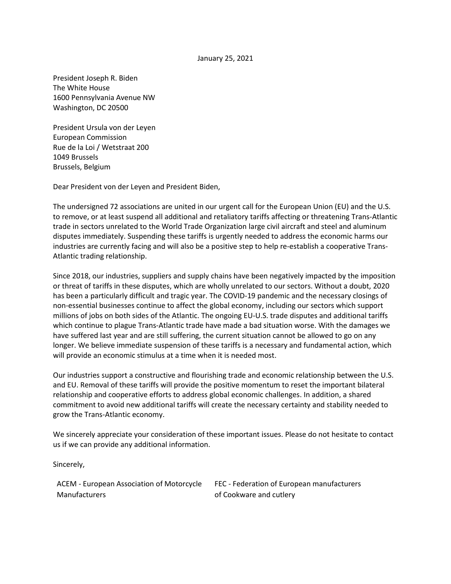## January 25, 2021

President Joseph R. Biden The White House 1600 Pennsylvania Avenue NW Washington, DC 20500

President Ursula von der Leyen European Commission Rue de la Loi / Wetstraat 200 1049 Brussels Brussels, Belgium

Dear President von der Leyen and President Biden,

The undersigned 72 associations are united in our urgent call for the European Union (EU) and the U.S. to remove, or at least suspend all additional and retaliatory tariffs affecting or threatening Trans-Atlantic trade in sectors unrelated to the World Trade Organization large civil aircraft and steel and aluminum disputes immediately. Suspending these tariffs is urgently needed to address the economic harms our industries are currently facing and will also be a positive step to help re-establish a cooperative Trans-Atlantic trading relationship.

Since 2018, our industries, suppliers and supply chains have been negatively impacted by the imposition or threat of tariffs in these disputes, which are wholly unrelated to our sectors. Without a doubt, 2020 has been a particularly difficult and tragic year. The COVID-19 pandemic and the necessary closings of non-essential businesses continue to affect the global economy, including our sectors which support millions of jobs on both sides of the Atlantic. The ongoing EU-U.S. trade disputes and additional tariffs which continue to plague Trans-Atlantic trade have made a bad situation worse. With the damages we have suffered last year and are still suffering, the current situation cannot be allowed to go on any longer. We believe immediate suspension of these tariffs is a necessary and fundamental action, which will provide an economic stimulus at a time when it is needed most.

Our industries support a constructive and flourishing trade and economic relationship between the U.S. and EU. Removal of these tariffs will provide the positive momentum to reset the important bilateral relationship and cooperative efforts to address global economic challenges. In addition, a shared commitment to avoid new additional tariffs will create the necessary certainty and stability needed to grow the Trans-Atlantic economy.

We sincerely appreciate your consideration of these important issues. Please do not hesitate to contact us if we can provide any additional information.

Sincerely,

ACEM - [European Association of Motorcycle](https://www.acem.eu/)  **[Manufacturers](https://www.acem.eu/)** 

FEC - [Federation of European manufacturers](https://fecassociation.eu/)  [of Cookware and cutlery](https://fecassociation.eu/)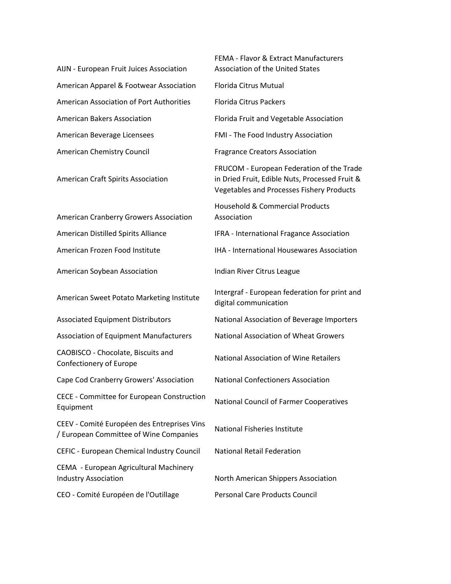AIJN - [European Fruit Juices Association](https://aijn.eu/en) [American Apparel & Footwear Association](https://www.aafaglobal.org/) [Florida Citrus Mutual](http://flcitrusmutual.com/) [American Association of Port Authorities](https://www.aapa-ports.org/) [Florida Citrus Packers](http://www.flcitruspackers.org/) [American Bakers Association](https://americanbakers.org/) **[Florida Fruit and Vegetable Association](https://www.ffva.com/)** [American Beverage Licensees](https://ablusa.org/) FMI - [The Food Industry Association](https://www.fmi.org/) [American Chemistry Council](https://www.americanchemistry.com/default.aspx) **Fragrance Creators Association** 

[American Craft Spirits Association](https://americancraftspirits.org/)

American Cranberry Growers Association

[American Soybean Association](https://soygrowers.com/) **[Indian River Citrus League](http://ircitrusleague.org/)** 

CAOBISCO - [Chocolate, Biscuits and](http://caobisco.eu/) 

[Cape Cod Cranberry Growers' Association](https://www.cranberries.org/) [National Confectioners Association](https://candyusa.com/)

CECE - [Committee for European Construction](https://www.cece.eu/home)  [Equipment](https://www.cece.eu/home)

CEEV - [Comité Européen des Entreprises Vins](https://www.ceev.eu/)  ELLY COMIC LATOPECH ALS LINE PHISES VIIIS<br>[/ European Committee of Wine Companies](https://www.ceev.eu/)

CEFIC - [European Chemical Industry Council](https://cefic.org/) [National Retail Federation](https://nrf.com/)

CEMA - [European Agricultural Machinery](https://www.cema-agri.org/)  [Industry Association](https://www.cema-agri.org/) **North American Shippers Association** 

CEO - [Comité Européen de l'Outillage](http://ceo-tools.com/) [Personal Care Products Council](https://www.personalcarecouncil.org/)

FEMA - [Flavor & Extract Manufacturers](https://www.femaflavor.org/)  [Association of the United States](https://www.femaflavor.org/) FRUCOM - [European Federation of the Trade](https://frucom.eu/)  [in Dried Fruit, Edible Nuts, Processed Fruit &](https://frucom.eu/)  [Vegetables and Processes Fishery Products](https://frucom.eu/)  [Household & Commercial Products](https://www.thehcpa.org/)  [Association](https://www.thehcpa.org/) [American Distilled Spirits Alliance](https://www.americandistilledspirits.org/) **IFRA - [International Fragance Association](https://ifrafragrance.org/)** [American Frozen Food Institute](https://affi.org/) [International Housewares Association](https://www.housewares.org/) [American Sweet Potato Marketing Institute](https://americansweetpotato.org/) Intergraf - European federation for print and [digital communication](https://www.intergraf.eu/) [Associated Equipment Distributors](https://aednet.org/) National Association of Beverage Importers [Association of Equipment Manufacturers](https://www.aem.org/) [National Association of Wheat Growers](https://www.wheatworld.org/) [Confectionery of Europe](http://caobisco.eu/) [National Association of Wine Retailers](https://nawr.org/) [National Council of Farmer Cooperatives](http://ncfc.org/)